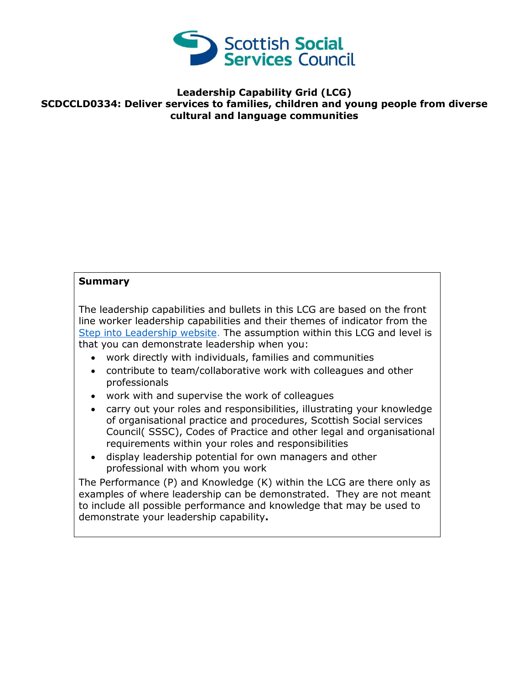

## **Leadership Capability Grid (LCG) SCDCCLD0334: Deliver services to families, children and young people from diverse cultural and language communities**

## **Summary**

The leadership capabilities and bullets in this LCG are based on the front line worker leadership capabilities and their themes of indicator from the [Step into Leadership website.](http://www.stepintoleadership.info/) The assumption within this LCG and level is that you can demonstrate leadership when you:

- work directly with individuals, families and communities
- contribute to team/collaborative work with colleagues and other professionals
- work with and supervise the work of colleagues
- carry out your roles and responsibilities, illustrating your knowledge of organisational practice and procedures, Scottish Social services Council( SSSC), Codes of Practice and other legal and organisational requirements within your roles and responsibilities
- display leadership potential for own managers and other professional with whom you work

The Performance (P) and Knowledge (K) within the LCG are there only as examples of where leadership can be demonstrated. They are not meant to include all possible performance and knowledge that may be used to demonstrate your leadership capability**.**